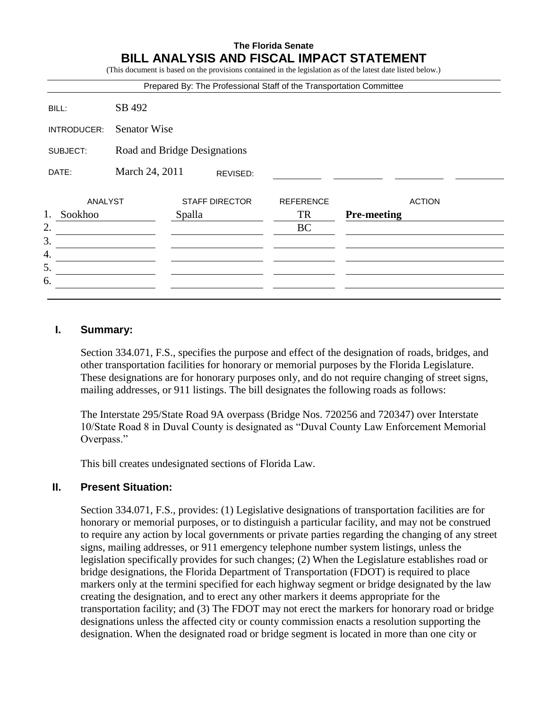## **The Florida Senate BILL ANALYSIS AND FISCAL IMPACT STATEMENT**

(This document is based on the provisions contained in the legislation as of the latest date listed below.)

|               |                              | Prepared By: The Professional Staff of the Transportation Committee |                  |                    |               |
|---------------|------------------------------|---------------------------------------------------------------------|------------------|--------------------|---------------|
| BILL:         | SB 492                       |                                                                     |                  |                    |               |
| INTRODUCER:   | <b>Senator Wise</b>          |                                                                     |                  |                    |               |
| SUBJECT:      | Road and Bridge Designations |                                                                     |                  |                    |               |
| DATE:         | March 24, 2011<br>REVISED:   |                                                                     |                  |                    |               |
| ANALYST       |                              | <b>STAFF DIRECTOR</b>                                               | <b>REFERENCE</b> |                    | <b>ACTION</b> |
| 1.<br>Sookhoo |                              | Spalla                                                              | <b>TR</b>        | <b>Pre-meeting</b> |               |
| 2.            |                              |                                                                     | <b>BC</b>        |                    |               |
|               |                              |                                                                     |                  |                    |               |
|               |                              |                                                                     |                  |                    |               |
| 5.            |                              |                                                                     |                  |                    |               |
| 6.            |                              |                                                                     |                  |                    |               |
|               |                              |                                                                     |                  |                    |               |

#### **I. Summary:**

Section 334.071, F.S., specifies the purpose and effect of the designation of roads, bridges, and other transportation facilities for honorary or memorial purposes by the Florida Legislature. These designations are for honorary purposes only, and do not require changing of street signs, mailing addresses, or 911 listings. The bill designates the following roads as follows:

The Interstate 295/State Road 9A overpass (Bridge Nos. 720256 and 720347) over Interstate 10/State Road 8 in Duval County is designated as "Duval County Law Enforcement Memorial Overpass."

This bill creates undesignated sections of Florida Law.

#### **II. Present Situation:**

Section 334.071, F.S., provides: (1) Legislative designations of transportation facilities are for honorary or memorial purposes, or to distinguish a particular facility, and may not be construed to require any action by local governments or private parties regarding the changing of any street signs, mailing addresses, or 911 emergency telephone number system listings, unless the legislation specifically provides for such changes; (2) When the Legislature establishes road or bridge designations, the Florida Department of Transportation (FDOT) is required to place markers only at the termini specified for each highway segment or bridge designated by the law creating the designation, and to erect any other markers it deems appropriate for the transportation facility; and (3) The FDOT may not erect the markers for honorary road or bridge designations unless the affected city or county commission enacts a resolution supporting the designation. When the designated road or bridge segment is located in more than one city or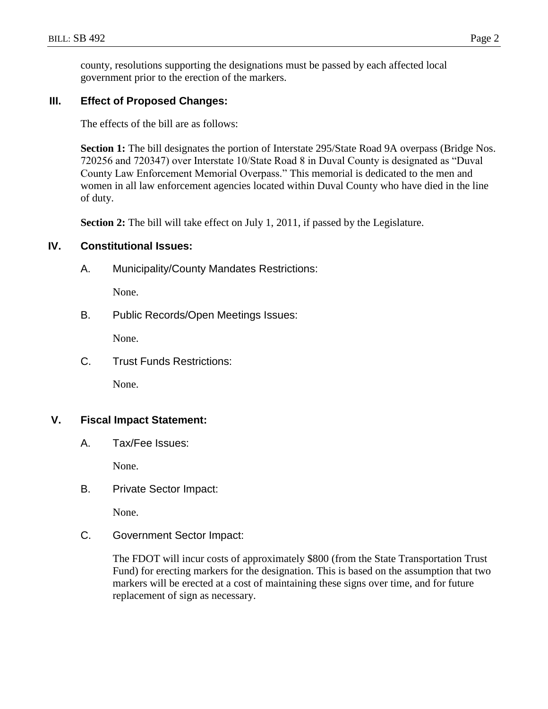county, resolutions supporting the designations must be passed by each affected local government prior to the erection of the markers.

## **III. Effect of Proposed Changes:**

The effects of the bill are as follows:

Section 1: The bill designates the portion of Interstate 295/State Road 9A overpass (Bridge Nos. 720256 and 720347) over Interstate 10/State Road 8 in Duval County is designated as "Duval County Law Enforcement Memorial Overpass." This memorial is dedicated to the men and women in all law enforcement agencies located within Duval County who have died in the line of duty.

**Section 2:** The bill will take effect on July 1, 2011, if passed by the Legislature.

#### **IV. Constitutional Issues:**

A. Municipality/County Mandates Restrictions:

None.

B. Public Records/Open Meetings Issues:

None.

C. Trust Funds Restrictions:

None.

## **V. Fiscal Impact Statement:**

A. Tax/Fee Issues:

None.

B. Private Sector Impact:

None.

C. Government Sector Impact:

The FDOT will incur costs of approximately \$800 (from the State Transportation Trust Fund) for erecting markers for the designation. This is based on the assumption that two markers will be erected at a cost of maintaining these signs over time, and for future replacement of sign as necessary.